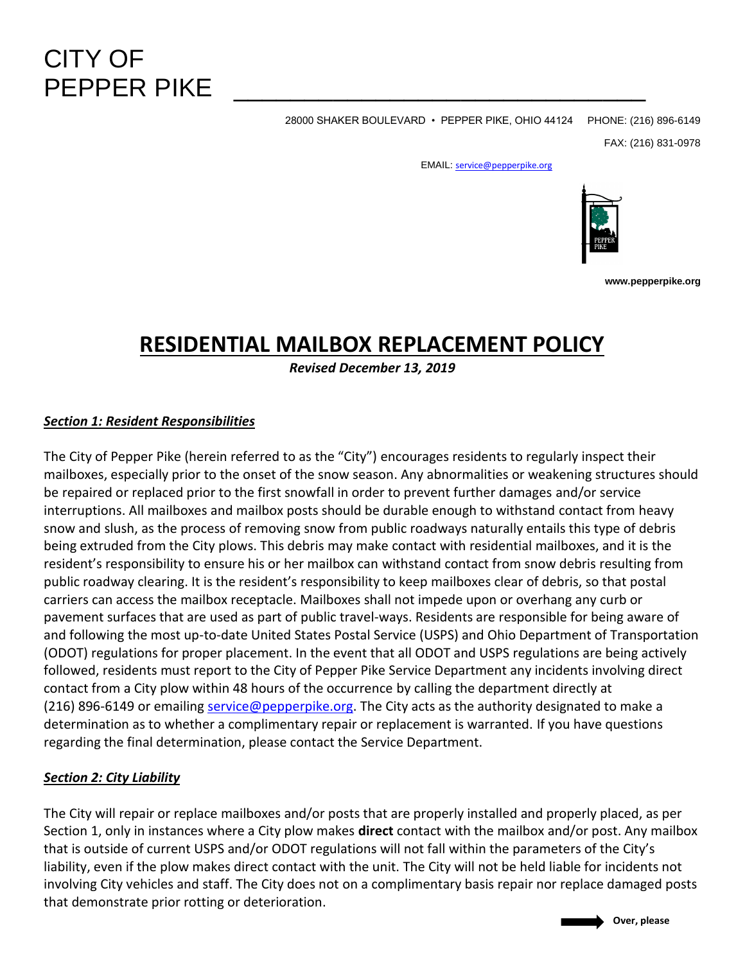# CITY OF PFPPFR PIKF

28000 SHAKER BOULEVARD • PEPPER PIKE, OHIO 44124 PHONE: (216) 896-6149

FAX: (216) 831-0978

EMAIL: [service@pepperpike.org](mailto:BruceHAkers@pepperpike.org)



**www.pepperpike.org**

# **RESIDENTIAL MAILBOX REPLACEMENT POLICY**

*Revised December 13, 2019*

## *Section 1: Resident Responsibilities*

The City of Pepper Pike (herein referred to as the "City") encourages residents to regularly inspect their mailboxes, especially prior to the onset of the snow season. Any abnormalities or weakening structures should be repaired or replaced prior to the first snowfall in order to prevent further damages and/or service interruptions. All mailboxes and mailbox posts should be durable enough to withstand contact from heavy snow and slush, as the process of removing snow from public roadways naturally entails this type of debris being extruded from the City plows. This debris may make contact with residential mailboxes, and it is the resident's responsibility to ensure his or her mailbox can withstand contact from snow debris resulting from public roadway clearing. It is the resident's responsibility to keep mailboxes clear of debris, so that postal carriers can access the mailbox receptacle. Mailboxes shall not impede upon or overhang any curb or pavement surfaces that are used as part of public travel-ways. Residents are responsible for being aware of and following the most up-to-date United States Postal Service (USPS) and Ohio Department of Transportation (ODOT) regulations for proper placement. In the event that all ODOT and USPS regulations are being actively followed, residents must report to the City of Pepper Pike Service Department any incidents involving direct contact from a City plow within 48 hours of the occurrence by calling the department directly at (216) 896-6149 or emailing [service@pepperpike.org.](mailto:service@pepperpike.org) The City acts as the authority designated to make a determination as to whether a complimentary repair or replacement is warranted. If you have questions regarding the final determination, please contact the Service Department.

#### *Section 2: City Liability*

The City will repair or replace mailboxes and/or posts that are properly installed and properly placed, as per Section 1, only in instances where a City plow makes **direct** contact with the mailbox and/or post. Any mailbox that is outside of current USPS and/or ODOT regulations will not fall within the parameters of the City's liability, even if the plow makes direct contact with the unit. The City will not be held liable for incidents not involving City vehicles and staff. The City does not on a complimentary basis repair nor replace damaged posts that demonstrate prior rotting or deterioration.